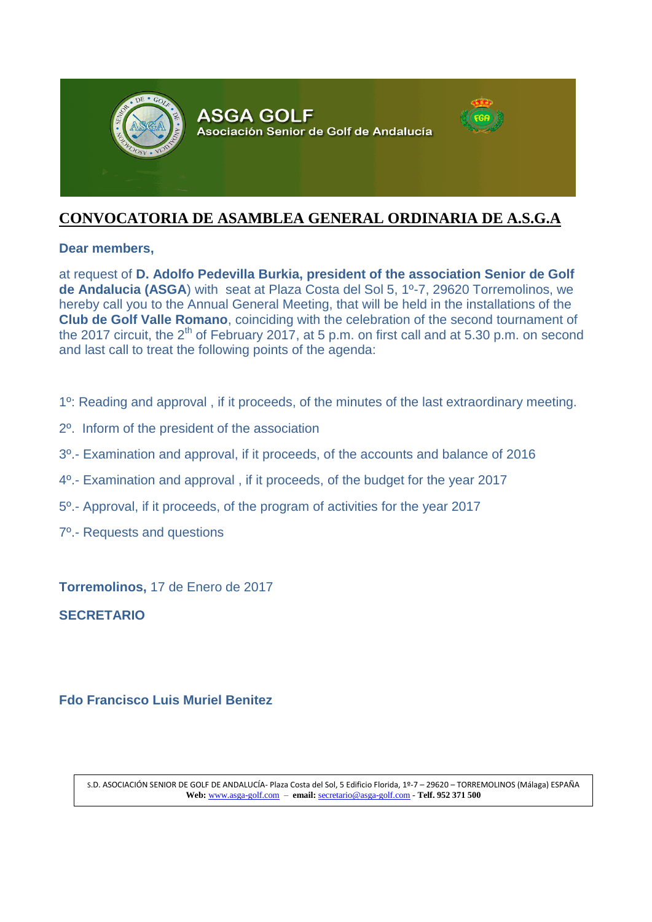

# **CONVOCATORIA DE ASAMBLEA GENERAL ORDINARIA DE A.S.G.A**

#### **Dear members,**

at request of **D. Adolfo Pedevilla Burkia, president of the association Senior de Golf de Andalucia (ASGA**) with seat at Plaza Costa del Sol 5, 1º-7, 29620 Torremolinos, we hereby call you to the Annual General Meeting, that will be held in the installations of the **Club de Golf Valle Romano**, coinciding with the celebration of the second tournament of the 2017 circuit, the 2<sup>th</sup> of February 2017, at 5 p.m. on first call and at 5.30 p.m. on second and last call to treat the following points of the agenda:

- 1º: Reading and approval , if it proceeds, of the minutes of the last extraordinary meeting.
- 2º. Inform of the president of the association
- 3º.- Examination and approval, if it proceeds, of the accounts and balance of 2016
- 4º.- Examination and approval , if it proceeds, of the budget for the year 2017
- 5º.- Approval, if it proceeds, of the program of activities for the year 2017
- 7º.- Requests and questions

**Torremolinos,** 17 de Enero de 2017

**SECRETARIO**

## **Fdo Francisco Luis Muriel Benitez**

S.D. ASOCIACIÓN SENIOR DE GOLF DE ANDALUCÍA- Plaza Costa del Sol, 5 Edificio Florida, 1º-7 – 29620 – TORREMOLINOS (Málaga) ESPAÑA **Web:** [www.asga-golf.com](http://www.asga-golf-com/) – **email:** [secretario@asga-golf.com](mailto:secretario@asga-golf.com) - **Telf. 952 371 500**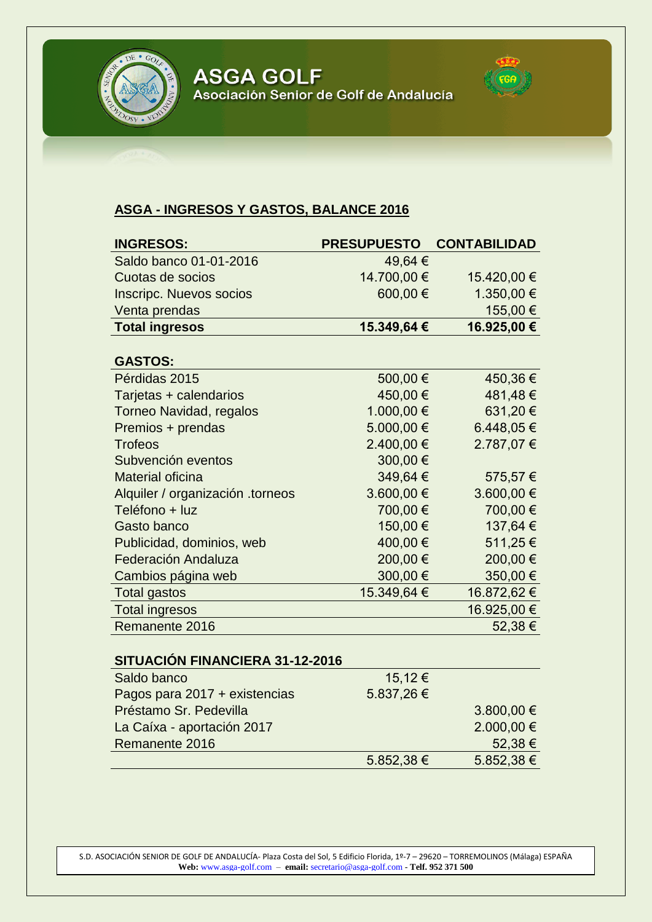

**ASGA GOLF** Asociación Senior de Golf de Andalucía



# **ASGA - INGRESOS Y GASTOS, BALANCE 2016**

| <b>INGRESOS:</b>                 | <b>PRESUPUESTO</b> | <b>CONTABILIDAD</b> |
|----------------------------------|--------------------|---------------------|
| Saldo banco 01-01-2016           | 49,64 €            |                     |
| Cuotas de socios                 | 14.700,00 €        | 15.420,00 €         |
| <b>Inscripc. Nuevos socios</b>   | 600,00€            | 1.350,00 €          |
| Venta prendas                    |                    | 155,00 €            |
| <b>Total ingresos</b>            | 15.349,64 €        | 16.925,00 €         |
|                                  |                    |                     |
| <b>GASTOS:</b>                   |                    |                     |
| Pérdidas 2015                    | 500,00€            | 450,36€             |
| Tarjetas + calendarios           | 450,00€            | 481,48€             |
| <b>Torneo Navidad, regalos</b>   | 1.000,00 €         | 631,20€             |
| Premios + prendas                | 5.000,00 €         | 6.448,05€           |
| <b>Trofeos</b>                   | 2.400,00 €         | 2.787,07 €          |
| Subvención eventos               | 300,00€            |                     |
| <b>Material oficina</b>          | 349,64 €           | 575,57€             |
| Alquiler / organización .torneos | 3.600,00 €         | 3.600,00 €          |
| Teléfono + luz                   | 700,00€            | 700,00€             |
| Gasto banco                      | 150,00€            | 137,64 €            |
| Publicidad, dominios, web        | 400,00€            | 511,25€             |
| <b>Federación Andaluza</b>       | 200,00€            | 200,00€             |
| Cambios página web               | 300,00€            | 350,00 €            |
| <b>Total gastos</b>              | 15.349,64 €        | 16.872,62 €         |
| <b>Total ingresos</b>            |                    | 16.925,00 €         |
| Remanente 2016                   |                    | 52,38€              |
| SITUACIÓN FINANCIERA 31-12-2016  |                    |                     |

| 011 0AVION 1 111ANVILIVA 9 1 - 1 4 - 4 0 1 0 |             |                |
|----------------------------------------------|-------------|----------------|
| Saldo banco                                  | $15,12 \in$ |                |
| Pagos para 2017 + existencias                | 5.837,26€   |                |
| Préstamo Sr. Pedevilla                       |             | $3.800,00 \in$ |
| La Caíxa - aportación 2017                   |             | 2.000,00 €     |
| Remanente 2016                               |             | $52,38 \in$    |
|                                              | 5.852,38 €  | $5.852,38 \in$ |

S.D. ASOCIACIÓN SENIOR DE GOLF DE ANDALUCÍA- Plaza Costa del Sol, 5 Edificio Florida, 1º-7 – 29620 – TORREMOLINOS (Málaga) ESPAÑA **Web:** [www.asga-golf.com](http://www.asga-golf-com/) – **email:** [secretario@asga-golf.com](mailto:secretario@asga-golf.com) - **Telf. 952 371 500**